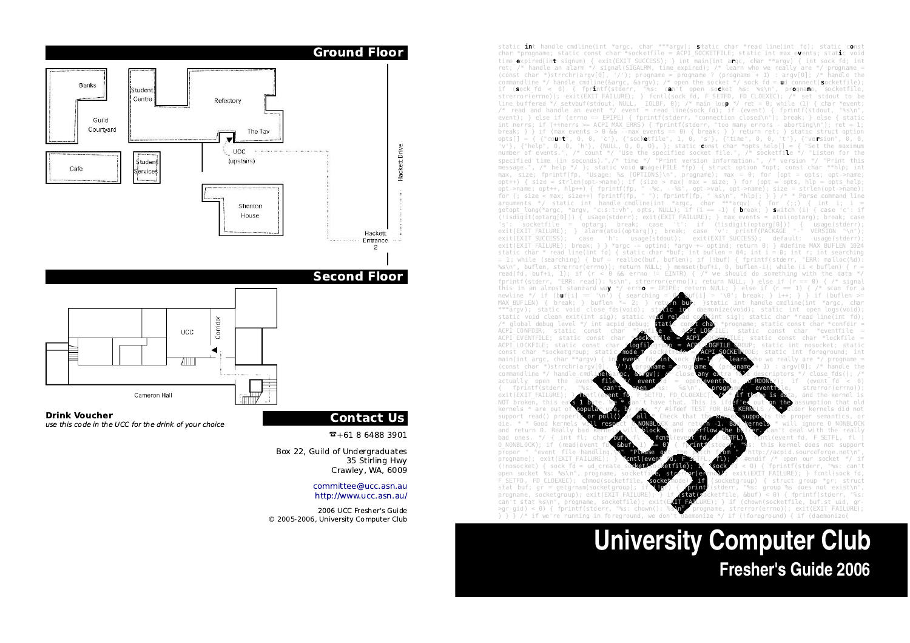static int handle cmdline(int \*argc, char \*\*\*argv); static char \*read line(int fd); static const char \*progname; static const char \*socketfile = ACPI\_SOCKETFILE; static int max\_events; static voidtime expired(in**t** signum) { exit(EXIT SUCCESS); } int main(int argc, char \*\*argv) { int sock fd; int ret; /\* handle an alarm \*/ signal(SIGALRM, time\_expired); /\* learn who we really are \*/ progname = (const char \*)strrchr(argv[0], '/'); progname = progname ? (progname + 1) : argv[0]; /\* handle thecommandline \*/ handle cmdline(&argc, &argv); /\* open the socket \*/ sock fd = ud connect(socketfile); if (sock\_fd <sup>&</sup>lt; 0) { fprintf(stderr, "%s: can't open socket %s: %s\n", progname, socketfile, strerror(errno)); exit(EXIT\_FAILURE); } fcntl(sock\_fd, F\_SETFD, FD\_CLOEXEC); /\* set stdout to beline buffered \*/ setvbuf(stdout, NULL, \_IOLBF, 0); /\* main loo**p** \*/ ret = 0; while (1) { char \*event;<br>/\* read and handle an event \*/ event = read\_line(sock\_fd); if (event) { fprintf(stdout, "%s\n", int nerrs; if (++nerrs >= ACPI\_MAX\_ERRS) { fprintf(stderr, "too many errors - aborting\n"); ret = 1; break; } } if (max\_events > 0 && --max\_events == 0) { break; } } return ret; } static struct option opts[] = { {"count", 0, 0, 'c'}, {"socketfile", 1, 0, 's'}, {"time", 0, 0, 't'}, {"version", 0, 0, 'v'}, {"help", 0, 0, 'h'}, {NULL, 0, 0, 0}, }; static const char \*opts\_help[] = { "Set the maximum number of events.", /\* count \*/ "Use the specified socket file.", /\* socketfile \*/ "Listen for the specified time (in seconds).",/\* time \*/ "Print version information.", /\* version \*/ "Print this message.", /\* help \*/ }; static void usage(FILE \*fp) { struct option \*opt; const char \*\*hlp; int max, size; fprintf(fp, "Usage: %s [OPTIONS]\n", progname); max = 0; for (opt = opts; opt->name; opt++) { size = strlen(opt->name); if (size > max) max = size; } for (opt = opts, hlp = opts\_help; opt->name; opt++, hlp++) { fprintf(fp, " -%c, --%s", opt->val, opt->name); size = strlen(opt->name); for (; size < max; size++) fprintf(fp, " "); fprintf(fp, " %s\n", \*hlp); } } /\* \* Parse command line arguments \*/ static int handle\_cmdline(int \*argc, char \*\*\*argv) { for (;;) { int i; i <sup>=</sup>getopt long(\*argc, \*argv, "c:s:t:vh", opts, NULL); if (i == -1) { <code>break; } switch (i) { case 'c': if</code> (!isdigit(optarg[0])) { usage(stderr); exit(EXIT\_FAILURE); } max\_events = atoi(optarg); break; caseVERSION "\n") exit(EXIT\_FAILURE); } alarm(atoi(optarg)); break; case 'v': printf(PACKAGE exit(EXIT\_SUCCESS); case 'h': usage(stdout); exit(EXIT\_SUCCESS); default: usage(stderr) exit(EXIT FAILURE); break; } } \*argc -= optind; \*argv += optind; return 0; } #define MAX BUFLEN 1024 static char \* read\_line(int fd) { static char \*buf; int buflen = 64; int i = 0; int r; int searching = 1; while (searching) { buf = realloc(buf, buflen); if (!buf) { fprintf(stderr, "ERR: malloc(%d): read(fd, buf+i, 1); if (r < 0 && errno != EINTR) { /\* we should do something with the data \*/ fprintf(stderr, "ERR: read(): %s\n", strerror(errno)); return NULL; } else if (r == 0) { /\* signal this in an almost standard way \*/ errno = EPIPE; return NULL; } else if (r == 1) { /\* scan for anewline \*/ if (b**u**f[i]  $=$  '\n') { searching = 0; buf[i] = '\0'; break; } i++; } } if (buflen >= MAX\_BUFLEN) { break; } buflen \*= 2; }<br>\*\*\*argv); static void close\_fds(void); \*\*\*argv); static void close fds(void); sta**tic in**t daemonize(void); static int open\_logs(void); static void clean exit(int sig); static void reload conf(int sig); static char \*read line(int fd) progname: static const char \*confdir = ACPI\_CONFDIR; static const char \*logfile = ACPI\_LOGFILE; static const char \*eventfile = ACPI\_SOCKETATILE; static const char \*lockfile ACPI\_EVENTFILE; static const char \*<br>ACPI\_LOCKFILE: static const char ACPI\_LOCKFILE; static const char **\*logfil**egroup = ACPI\_LOGFILE GROUP; static int nosocket; static DE: static int foreground: int  $const$  char \*socketgroup; static main(int argc. char \*\*argv) { main(int argc, char \*\*argv) { in**t even**t fd; int sock fd=1; /\* learn who we really are \*/ progname = (const char \*)strrchr(argv[0], '/'); progname = progname ? (progname + 1) : argv[0]; /\* handle thecommandline \*/ handle\_cmdline(&argc, &argv); /\* close any extra file descriptors \*/ close\_fds(); /\* actually open the event  $\overline{f}$  and  $\overline{f}$  event  $\overline{f}$  = open(eventille,  $\overline{f}$  RDONLY); if (event\_fd < 0) exit(EXIT\_FAILURE)<br>NOT broken, this e NOT broken, this eat**s 1 b**yte. We \* can't have that. This is ifd**efied** out on the assumption that old kernels \* are out will ignore O NONBLOCK die. \* \* Good kernels an't deal with the reall and return 0. Really bad<br>bad ones. \*/  $\ell$  int flo bad ones.<br>\*/ flis kernel does not suppor O\_NONBLOCK); if (read(event fd,  $\frac{1}{2}$  ,  $\frac{1}{2}$  ,  $\frac{1}{2}$  ,  $\frac{1}{2}$  ,  $\frac{1}{2}$  ,  $\frac{1}{2}$  ,  $\frac{1}{2}$  ,  $\frac{1}{2}$  ,  $\frac{1}{2}$  ,  $\frac{1}{2}$  ,  $\frac{1}{2}$  ,  $\frac{1}{2}$  ,  $\frac{1}{2}$  ,  $\frac{1}{2}$  ,  $\frac{1}{2}$  ,  $\frac{1}{2}$ proper " "event file handling #endif /\* onen our socket \*/ i (!nosocket) { sock  $f\bar{d} = ud$  create<br>open socket %s: %s\n", progname, open socket %s: %s\n", progname, socketfi<mark>le, strerror(er</mark>rno)); exit(EXIT\_FAILURE); } fcntl(sock\_fd, F\_SETFD, FD\_CLOEXEC); chmod(socketfile, **socket**mode); if (socketgroup) { struct group \*gr; struct stat buf; gr = getgrnam(socketgroup); if  $\sqrt{g}r$ ) {  $\sqrt{g}$ rat $k$ (stderr, "%s: group %s does not exist\n"<br>progname, socketgroup); exit(EXIT FAILURE); } if  $\sqrt{g}$ rat $k$ ocketfile, &buf) < 0) { fprintf(stderr, "%s progname, socketgroup); exit(EXIT FAILURE); } if (stat(socketfile, &buf) < 0) { fprintf(stderr, "%s: LURE): } if (chown(socketfile, buf.st uid, ar can't stat %s\n", progname, socketfile); exit progname, strerror(errno)): exit(EXIT FAILURE);  $>$ gr\_gid) < 0) { fprintf(stderr, "%s: chown(): % $\sum$ , progname, strerror(errno)); exit(EXIT\_FAILURE); } } /\* if we're running in foreground, we don't daemonize(  ${}^{\circ}$  /\* if we're running in foreground, we don

# **University Computer Club Fresher's Guide 2006**



2006 UCC Fresher's Guide© 2005-2006, University Computer Club

Drink Voucher

Banks

Cafe

Guild Courtyard Studen Centre

Studen

S<sup>i</sup>ervice:

Refectory

The Tay **UCC** 

(upstairs)

Shenton House

use this code in the UCC for the drink of your choice

Cameron Hall

**UCC** 

# Ground Floor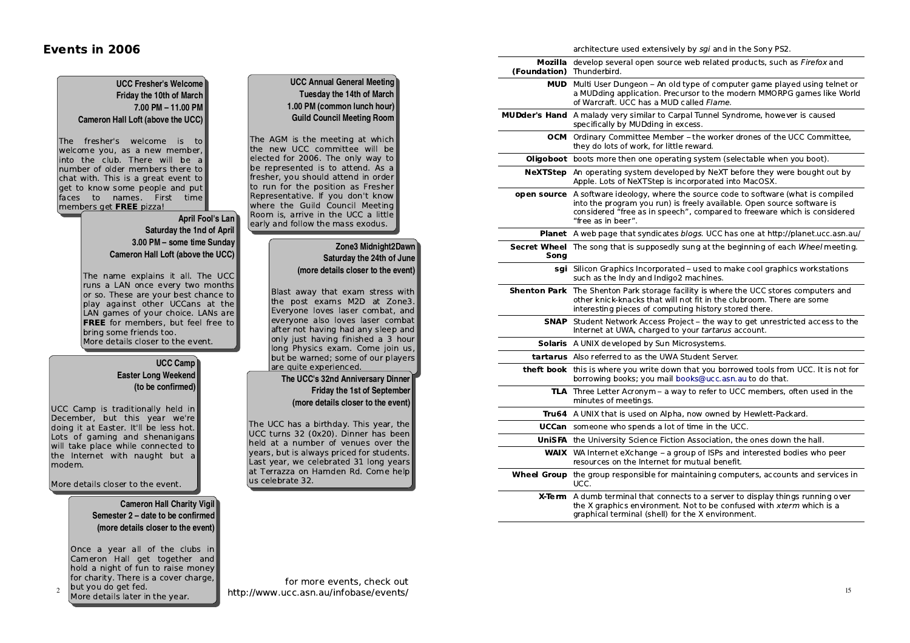### Events in 2006

architecture used extensively by sgi and in the Sony PS2.

| (Foundation) Thunderbird. | Mozilla develop several open source web related products, such as Firefox and                                                                                                                                                                                           |  |
|---------------------------|-------------------------------------------------------------------------------------------------------------------------------------------------------------------------------------------------------------------------------------------------------------------------|--|
| MUD                       | Multi User Dungeon - An old type of computer game played using telnet or<br>a MUDding application. Precursor to the modern MMORPG games like World<br>of Warcraft. UCC has a MUD called Flame.                                                                          |  |
|                           | MUDder's Hand A malady very similar to Carpal Tunnel Syndrome, however is caused<br>specifically by MUDding in excess.                                                                                                                                                  |  |
| осм                       | Ordinary Committee Member - the worker drones of the UCC Committee,<br>they do lots of work, for little reward.                                                                                                                                                         |  |
| Oligoboot                 | boots more then one operating system (selectable when you boot).                                                                                                                                                                                                        |  |
| NeXTStep                  | An operating system developed by NeXT before they were bought out by<br>Apple. Lots of NeXTStep is incorporated into MacOSX.                                                                                                                                            |  |
|                           | <b>open source</b> A software ideology, where the source code to software (what is compiled<br>into the program you run) is freely available. Open source software is<br>considered "free as in speech", compared to freeware which is considered<br>"free as in beer". |  |
|                           | Planet A web page that syndicates blogs. UCC has one at http://planet.ucc.asn.au/                                                                                                                                                                                       |  |
| Song                      | Secret Wheel The song that is supposedly sung at the beginning of each Wheel meeting.                                                                                                                                                                                   |  |
|                           | sgi Silicon Graphics Incorporated - used to make cool graphics workstations<br>such as the Indy and Indigo2 machines.                                                                                                                                                   |  |
|                           | <b>Shenton Park</b> The Shenton Park storage facility is where the UCC stores computers and<br>other knick-knacks that will not fit in the clubroom. There are some<br>interesting pieces of computing history stored there.                                            |  |
|                           | <b>SNAP</b> Student Network Access Project - the way to get unrestricted access to the<br>Internet at UWA, charged to your tartarus account.                                                                                                                            |  |
|                           | Solaris A UNIX developed by Sun Microsystems.                                                                                                                                                                                                                           |  |
|                           | tartarus Also referred to as the UWA Student Server.                                                                                                                                                                                                                    |  |
|                           | theft book this is where you write down that you borrowed tools from UCC. It is not for<br>borrowing books; you mail books@ucc.asn.au to do that.                                                                                                                       |  |
|                           | <b>TLA</b> Three Letter Acronym – a way to refer to UCC members, often used in the<br>minutes of meetings.                                                                                                                                                              |  |
|                           | Tru64 A UNIX that is used on Alpha, now owned by Hewlett-Packard.                                                                                                                                                                                                       |  |
| UCCan                     | someone who spends a lot of time in the UCC.                                                                                                                                                                                                                            |  |
|                           | <b>UniSFA</b> the University Science Fiction Association, the ones down the hall.                                                                                                                                                                                       |  |
|                           | <b>WAIX</b> WA Internet eXchange - a group of ISPs and interested bodies who peer<br>resources on the Internet for mutual benefit.                                                                                                                                      |  |
| <b>Wheel Group</b>        | the group responsible for maintaining computers, accounts and services in<br>UCC.                                                                                                                                                                                       |  |
| X-Term                    | A dumb terminal that connects to a server to display things running over<br>the X graphics environment. Not to be confused with xterm which is a<br>graphical terminal (shell) for the X environment.                                                                   |  |

| <b>UCC Annual General Meeting</b> |
|-----------------------------------|
| Tuesday the 14th of March         |
| 1.00 PM (common lunch hour)       |
| <b>Guild Council Meeting Room</b> |
|                                   |

The AGM is the meeting at which the new UCC committee will be elected for 2006. The only way to be represented is to attend. As a fresher, you should attend in order to run for the position as Fresher Representative. If you don't know where the Guild Council Meeting Room is, arrive in the UCC a little early and follow the mass exodus.

#### **Zone3 Midnight2Dawn Saturday the 24th of June(more details closer to the event)**

Blast away that exam stress with the post exams M2D at Zone3. Everyone loves laser combat, and everyone also loves laser combat after not having had any sleep and only just having finished a 3 hour long Physics exam. Come join us, but be warned; some of our players are quite experienced.

### **The UCC's 32nd Anniversary Dinner Friday the 1st of September(more details closer to the event)**

The UCC has a birthday. This year, the UCC turns 32 (0x20). Dinner has been held at a number of venues over the years, but is always priced for students. Last year, we celebrated 31 long years at Terrazza on Hamden Rd. Come help us celebrate 32.

#### **UCC Fresher's Welcome Friday the 10th of March 7.00 PM – 11.00 PMCameron Hall Loft (above the UCC)**

The fresher's welcome is to welcome you, as a new member, into the club. There will be a number of older members there to chat with. This is a great event to get to know some people and put faces to names. First time members get FREE pizza!

#### **April Fool's Lan Saturday the 1nd of April 3.00 PM – some time SundayCameron Hall Loft (above the UCC)**

The name explains it all. The UCC runs a LAN once every two months or so. These are your best chance to play against other UCCans at the LAN games of your choice. LANs are FREE for members, but feel free to bring some friends too.More details closer to the event.

#### **UCC Camp Easter Long Weekend(to be confirmed)**

UCC Camp is traditionally held in December, but this year we're doing it at Easter. It'll be less hot. Lots of gaming and shenanigans will take place while connected to the Internet with naught but a modem.

More details closer to the event.

 $\overline{2}$ 

#### **Cameron Hall Charity Vigil Semester 2 – date to be confirmed(more details closer to the event)**

Once a year all of the clubs in Cameron Hall get together and hold a night of fun to raise money for charity. There is a cover charge, but you do get fed.More details later in the year.

for more events, check out http://www.ucc.asn.au/infobase/events/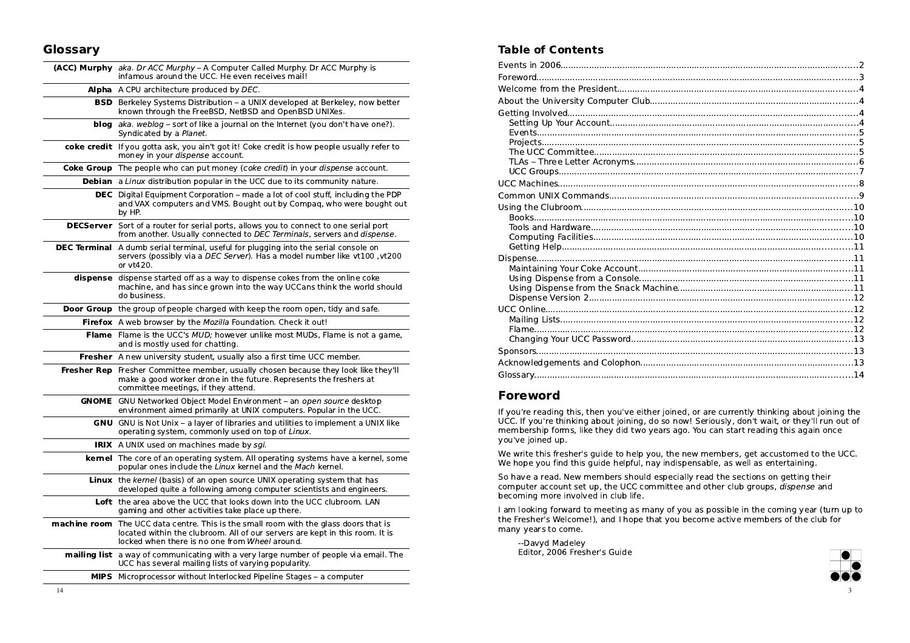### Glossary

|              | (ACC) Murphy aka. Dr ACC Murphy - A Computer Called Murphy. Dr ACC Murphy is<br>infamous around the UCC. He even receives mail!                                                                            |  |
|--------------|------------------------------------------------------------------------------------------------------------------------------------------------------------------------------------------------------------|--|
|              | Alpha A CPU architecture produced by DEC.                                                                                                                                                                  |  |
|              | <b>BSD</b> Berkeley Systems Distribution - a UNIX developed at Berkeley, now better<br>known through the FreeBSD, NetBSD and OpenBSD UNIXes.                                                               |  |
| blog         | aka. weblog - sort of like a journal on the Internet (you don't have one?).<br>Syndicated by a Planet.                                                                                                     |  |
|              | coke credit If you gotta ask, you ain't got it! Coke credit is how people usually refer to<br>money in your dispense account.                                                                              |  |
|              | Coke Group The people who can put money (coke credit) in your dispense account.                                                                                                                            |  |
|              | <b>Debian</b> a Linux distribution popular in the UCC due to its community nature.                                                                                                                         |  |
|              | DEC Digital Equipment Corporation - made a lot of cool stuff, including the PDP<br>and VAX computers and VMS. Bought out by Compag, who were bought out<br>by HP.                                          |  |
|              | DECServer Sort of a router for serial ports, allows you to connect to one serial port<br>from another. Usually connected to DEC Terminals, servers and dispense.                                           |  |
|              | <b>DEC Terminal</b> A dumb serial terminal, useful for plugging into the serial console on<br>servers (possibly via a DEC Server). Has a model number like vt100, vt200<br>or vt420.                       |  |
|              | dispense dispense started off as a way to dispense cokes from the online coke<br>machine, and has since grown into the way UCCans think the world should<br>do business.                                   |  |
|              | <b>Door Group</b> the group of people charged with keep the room open, tidy and safe.                                                                                                                      |  |
|              | Firefox A web browser by the Mozilla Foundation. Check it out!                                                                                                                                             |  |
|              | Flame Flame is the UCC's MUD; however unlike most MUDs, Flame is not a game,<br>and is mostly used for chatting.                                                                                           |  |
|              | Fresher A new university student, usually also a first time UCC member.                                                                                                                                    |  |
| Fresher Rep  | Fresher Committee member, usually chosen because they look like they'll<br>make a good worker drone in the future. Represents the freshers at<br>committee meetings, if they attend.                       |  |
|              | GNOME GNU Networked Object Model Environment - an open source desktop<br>environment aimed primarily at UNIX computers. Popular in the UCC.                                                                |  |
|              | GNU GNU is Not Unix - a layer of libraries and utilities to implement a UNIX like<br>operating system, commonly used on top of Linux.                                                                      |  |
|              | IRIX A UNIX used on machines made by sgi.                                                                                                                                                                  |  |
|              | kernel The core of an operating system. All operating systems have a kernel, some<br>popular ones include the Linux kernel and the Mach kernel.                                                            |  |
|              | Linux the kernel (basis) of an open source UNIX operating system that has<br>developed quite a following among computer scientists and engineers.                                                          |  |
|              | Loft the area above the UCC that looks down into the UCC clubroom. LAN<br>gaming and other activities take place up there.                                                                                 |  |
| machine room | The UCC data centre. This is the small room with the glass doors that is<br>located within the clubroom. All of our servers are kept in this room. It is<br>locked when there is no one from Wheel around. |  |
|              | <b>mailing list</b> a way of communicating with a very large number of people via email. The<br>UCC has several mailing lists of varying popularity.                                                       |  |
|              | MIPS Microprocessor without Interlocked Pipeline Stages - a computer                                                                                                                                       |  |
|              |                                                                                                                                                                                                            |  |

### Table of Contents

### Foreword

 If you're reading this, then you've either joined, or are currently thinking about joining the UCC. If you're thinking about joining, do so now! Seriously, don't wait, or they'll run out ofmembership forms, like they did two years ago. You can start reading this again onceyou've joined up.

We write this fresher's guide to help you, the new members, get accustomed to the UCC.We hope you find this guide helpful, nay indispensable, as well as entertaining.

So have a read. New members should especially read the sections on getting theircomputer account set up, the UCC committee and other club groups, *dispense* and becoming more involved in club life.

I am looking forward to meeting as many of you as possible in the coming year (turn up tothe Fresher's Welcome!), and I hope that you become active members of the club formany years to come.

--Davyd MadeleyEditor, 2006 Fresher's Guide

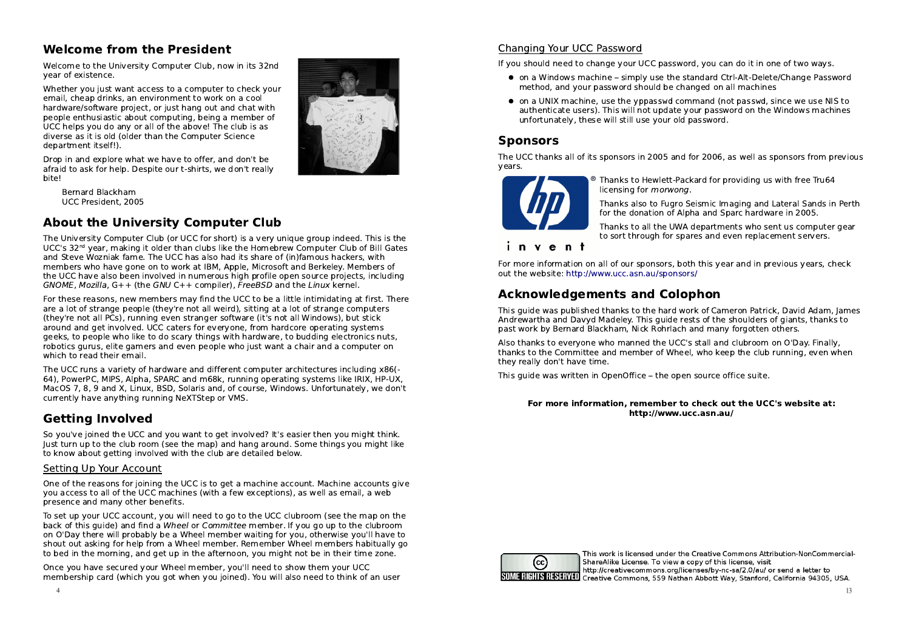## Welcome from the President

 Welcome to the University Computer Club, now in its 32ndyear of existence.

Whether you just want access to a computer to check youremail, cheap drinks, an environment to work on a cool hardware/software project, or just hang out and chat with people enthusiastic about computing, being a member ofUCC helps you do any or all of the above! The club is asdiverse as it is old (older than the Computer Sciencedepartment itself!).



Drop in and explore what we have to offer, and don't be afraid to ask for help. Despite our t-shirts, we don't reallybite!

Bernard BlackhamUCC President, 2005

# About the University Computer Club

 The University Computer Club (or UCC for short) is a very unique group indeed. This is theUCC's 32nd year, making it older than clubs like the Homebrew Computer Club of Bill Gates and Steve Wozniak fame. The UCC has also had its share of (in)famous hackers, with members who have gone on to work at IBM, Apple, Microsoft and Berkeley. Members of the UCC have also been involved in numerous high profile open source projects, includingGNOME, Mozilla, G++ (the GNU C++ compiler), FreeBSD and the Linux kernel.

For these reasons, new members may find the UCC to be a little intimidating at first. Thereare a lot of strange people (they're not all weird), sitting at a lot of strange computers(they're not all PCs), running even stranger software (it's not all Windows), but stick around and get involved. UCC caters for everyone, from hardcore operating systems geeks, to people who like to do scary things with hardware, to budding electronics nuts, robotics gurus, elite gamers and even people who just want a chair and a computer onwhich to read their email.

The UCC runs a variety of hardware and different computer architectures including x86(- 64), PowerPC, MIPS, Alpha, SPARC and m68k, running operating systems like IRIX, HP-UX, MacOS 7, 8, 9 and X, Linux, BSD, Solaris and, of course, Windows. Unfortunately, we don'tcurrently have anything running NeXTStep or VMS.

### Getting Involved

 So you've joined the UCC and you want to get involved? It's easier then you might think. Just turn up to the club room (see the map) and hang around. Some things you might liketo know about getting involved with the club are detailed below.

#### Setting Up Your Account

One of the reasons for joining the UCC is to get a machine account. Machine accounts giveyou access to all of the UCC machines (with a few exceptions), as well as email, a webpresence and many other benefits.

To set up your UCC account, you will need to go to the UCC clubroom (see the map on the back of this guide) and find a Wheel or Committee member. If you go up to the clubroom on O'Day there will probably be a Wheel member waiting for you, otherwise you'll have to shout out asking for help from a Wheel member. Remember Wheel members habitually goto bed in the morning, and get up in the afternoon, you might not be in their time zone.

Once you have secured your Wheel member, you'll need to show them your UCCmembership card (which you got when you joined). You will also need to think of an user

#### Changing Your UCC Password

If you should need to change your UCC password, you can do it in one of two ways.

- $\bullet\,$  on a Windows machine simply use the standard Ctrl-Alt-Delete/Change Password method, and your password should be changed on all machines
- on a UNIX machine, use the yppasswd command (not passwd, since we use NIS to authenticate users). This will not update your password on the Windows machinesunfortunately, these will still use your old password.

### **Sponsors**

 The UCC thanks all of its sponsors in 2005 and for 2006, as well as sponsors from previousyears.



Thanks to Hewlett-Packard for providing us with free Tru64licensing for morwong.

Thanks also to Fugro Seismic Imaging and Lateral Sands in Perthfor the donation of Alpha and Sparc hardware in 2005.

Thanks to all the UWA departments who sent us computer gearto sort through for spares and even replacement servers.

invent

For more information on all of our sponsors, both this year and in previous years, checkout the website: http://www.ucc.asn.au/sponsors/

# Acknowledgements and Colophon

 This guide was published thanks to the hard work of Cameron Patrick, David Adam, JamesAndrewartha and Davyd Madeley. This guide rests of the shoulders of giants, thanks topast work by Bernard Blackham, Nick Rohrlach and many forgotten others.

Also thanks to everyone who manned the UCC's stall and clubroom on O'Day. Finally, thanks to the Committee and member of Wheel, who keep the club running, even whenthey really don't have time.

This guide was written in OpenOffice - the open source office suite.

#### For more information, remember to check out the UCC's website at:http://www.ucc.asn.au/



This work is licensed under the Creative Commons Attribution-NonCommercial-ShareAlike License. To view a copy of this license, visit http://creativecommons.org/licenses/by-nc-sa/2.0/au/ or send a letter to **IGHIS REALT Creative Commons, 559 Nathan Abbott Way, Stanford, California 94305, USA.**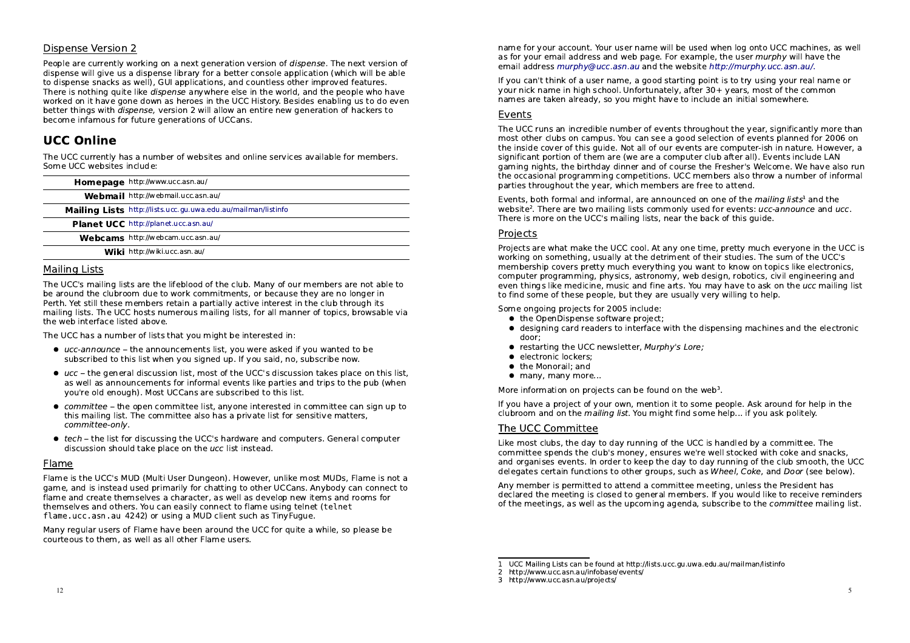#### Dispense Version 2

People are currently working on a next generation version of *dispense*. The next version of dispense will give us a dispense library for a better console application (which will be ableto dispense snacks as well), GUI applications, and countless other improved features.There is nothing quite like *dispense* anywhere else in the world, and the people who have worked on it have gone down as heroes in the UCC History. Besides enabling us to do evenbetter things with *dispense*, version 2 will allow an entire new generation of hackers to become infamous for future generations of UCCans.

### UCC Online

 The UCC currently has a number of websites and online services available for members.Some UCC websites include:

|                 | Homepage http://www.ucc.asn.au/                               |
|-----------------|---------------------------------------------------------------|
|                 | Webmail http://webmail.ucc.asn.au/                            |
|                 | Mailing Lists http://lists.ucc.gu.uwa.edu.au/mailman/listinfo |
|                 | Planet UCC http://planet.ucc.asn.au/                          |
|                 | Webcams http://webcam.ucc.asn.au/                             |
|                 | Wiki http://wiki.ucc.asn.au/                                  |
| Marijin - Link- |                                                               |

#### Mailing Lists

 The UCC's mailing lists are the lifeblood of the club. Many of our members are not able tobe around the clubroom due to work commitments, or because they are no longer in Perth. Yet still these members retain a partially active interest in the club through its mailing lists. The UCC hosts numerous mailing lists, for all manner of topics, browsable viathe web interface listed above.

The UCC has a number of lists that you might be interested in:

- ucc-announce the announcements list, you were asked if you wanted to be subscribed to this list when you signed up. If you said, no, subscribe now.
- $\bullet\,$  ucc the general discussion list, most of the UCC's discussion takes place on this list, as well as announcements for informal events like parties and trips to the pub (whenyou're old enough). Most UCCans are subscribed to this list.
- committee the open committee list, anyone interested in committee can sign up to this mailing list. The committee also has a private list for sensitive matters,committee-only.
- **•** tech the list for discussing the UCC's hardware and computers. General computer discussion should take place on the ucc list instead.

#### Flame

 Flame is the UCC's MUD (Multi User Dungeon). However, unlike most MUDs, Flame is not a game, and is instead used primarily for chatting to other UCCans. Anybody can connect toflame and create themselves a character, as well as develop new items and rooms forthemselves and others. You can easily connect to flame using telnet (telnetflame.ucc.asn.au 4242) or using a MUD client such as TinyFugue.

Many regular users of Flame have been around the UCC for quite a while, so please becourteous to them, as well as all other Flame users.

name for your account. Your user name will be used when log onto UCC machines, as wellas for your email address and web page. For example, the user murphy will have the email address murphy@ucc.asn.au and the website http://murphy.ucc.asn.au/.

If you can't think of a user name, a good starting point is to try using your real name oryour nick name in high school. Unfortunately, after 30+ years, most of the commonnames are taken already, so you might have to include an initial somewhere.

#### Events

 The UCC runs an incredible number of events throughout the year, significantly more than most other clubs on campus. You can see a good selection of events planned for 2006 on the inside cover of this guide. Not all of our events are computer-ish in nature. However, asignificant portion of them are (we are a computer club after all). Events include LAN gaming nights, the birthday dinner and of course the Fresher's Welcome. We have also run the occasional programming competitions. UCC members also throw a number of informalparties throughout the year, which members are free to attend.

Events, both formal and informal, are announced on one of the *mailing lists*<sup>1</sup> and the website<sup>2</sup>. There are two mailing lists commonly used for events: ucc-announce and ucc. There is more on the UCC's mailing lists, near the back of this guide.

#### Projects

 Projects are what make the UCC cool. At any one time, pretty much everyone in the UCC isworking on something, usually at the detriment of their studies. The sum of the UCC's membership covers pretty much everything you want to know on topics like electronics, computer programming, physics, astronomy, web design, robotics, civil engineering andeven things like medicine, music and fine arts. You may have to ask on the *ucc* mailing list to find some of these people, but they are usually very willing to help.

Some ongoing projects for 2005 include:

- the OpenDispense software project;
- designing card readers to interface with the dispensing machines and the electronic door;
- **•** restarting the UCC newsletter, Murphy's Lore;
- electronic lockers;
- the Monorail; and
- $\bullet\,$  many, many more...

More information on projects can be found on the web<sup>3</sup>.

 If you have a project of your own, mention it to some people. Ask around for help in theclubroom and on the mailing list. You might find some help... if you ask politely.

#### The UCC Committee

 Like most clubs, the day to day running of the UCC is handled by a committee. The committee spends the club's money, ensures we're well stocked with coke and snacks, and organises events. In order to keep the day to day running of the club smooth, the UCCdelegates certain functions to other groups, such as Wheel, Coke, and Door (see below).

Any member is permitted to attend a committee meeting, unless the President has declared the meeting is closed to general members. If you would like to receive remindersof the meetings, as well as the upcoming agenda, subscribe to the *committee* mailing list.

<sup>1</sup> UCC Mailing Lists can be found at http://lists.ucc.gu.uwa.edu.au/mailman/listinfo

<sup>2</sup> http://www.ucc.asn.au/infobase/events/

<sup>3</sup> http://www.ucc.asn.au/projects/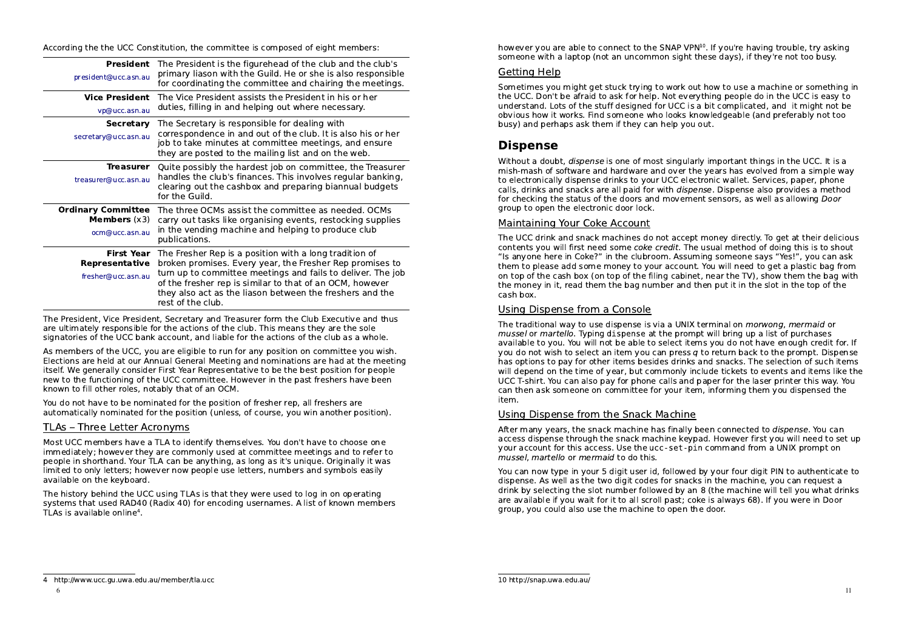According the the UCC Constitution, the committee is composed of eight members:

| President<br>president@ucc.asn.au                             | The President is the figurehead of the club and the club's<br>primary liason with the Guild. He or she is also responsible<br>for coordinating the committee and chairing the meetings.                                                                                                                                        |
|---------------------------------------------------------------|--------------------------------------------------------------------------------------------------------------------------------------------------------------------------------------------------------------------------------------------------------------------------------------------------------------------------------|
| <b>Vice President</b><br>vp@ucc.asn.au                        | The Vice President assists the President in his or her<br>duties, filling in and helping out where necessary.                                                                                                                                                                                                                  |
| Secretary<br>secretary@ucc.asn.au                             | The Secretary is responsible for dealing with<br>correspondence in and out of the club. It is also his or her<br>job to take minutes at committee meetings, and ensure<br>they are posted to the mailing list and on the web.                                                                                                  |
| <b>Treasurer</b><br>treasurer@ucc.asn.au                      | Quite possibly the hardest job on committee, the Treasurer<br>handles the club's finances. This involves regular banking,<br>clearing out the cashbox and preparing biannual budgets<br>for the Guild.                                                                                                                         |
| <b>Ordinary Committee</b><br>Members $(x3)$<br>ocm@ucc.asn.au | The three OCMs assist the committee as needed. OCMs<br>carry out tasks like organising events, restocking supplies<br>in the vending machine and helping to produce club<br>publications.                                                                                                                                      |
| <b>First Year</b><br>Representative<br>fresher@ucc.asn.au     | The Fresher Rep is a position with a long tradition of<br>broken promises. Every year, the Fresher Rep promises to<br>turn up to committee meetings and fails to deliver. The job<br>of the fresher rep is similar to that of an OCM, however<br>they also act as the liason between the freshers and the<br>rest of the club. |

The President, Vice President, Secretary and Treasurer form the Club Executive and thusare ultimately responsible for the actions of the club. This means they are the solesignatories of the UCC bank account, and liable for the actions of the club as a whole.

As members of the UCC, you are eligible to run for any position on committee you wish. Elections are held at our Annual General Meeting and nominations are had at the meetingitself. We generally consider First Year Representative to be the best position for people new to the functioning of the UCC committee. However in the past freshers have beenknown to fill other roles, notably that of an OCM.

You do not have to be nominated for the position of fresher rep, all freshers areautomatically nominated for the position (unless, of course, you win another position).

#### TLAs Three Letter Acronyms

 Most UCC members have a TLA to identify themselves. You don't have to choose one immediately; however they are commonly used at committee meetings and to refer to people in shorthand. Your TLA can be anything, as long as it's unique. Originally it waslimited to only letters; however now people use letters, numbers and symbols easilyavailable on the keyboard.

The history behind the UCC using TLAs is that they were used to log in on operating systems that used RAD40 (Radix 40) for encoding usernames. A list of known membersTLAs is available online4.

however you are able to connect to the SNAP VPN<sup>10</sup>. If you're having trouble, try asking someone with a laptop (not an uncommon sight these days), if they're not too busy.

#### Getting Help

 Sometimes you might get stuck trying to work out how to use a machine or something inthe UCC. Don't be afraid to ask for help. Not everything people do in the UCC is easy to understand. Lots of the stuff designed for UCC is a bit complicated, and it might not be obvious how it works. Find someone who looks knowledgeable (and preferably not toobusy) and perhaps ask them if they can help you out.

## Dispense

Without a doubt, *dispense* is one of most singularly important things in the UCC. It is a mish-mash of software and hardware and over the years has evolved from a simple wayto electronically dispense drinks to your UCC electronic wallet. Services, paper, phonecalls, drinks and snacks are all paid for with *dispens*e. Dispense also provides a method for checking the status of the doors and movement sensors, as well as allowing Doorgroup to open the electronic door lock.

#### Maintaining Your Coke Account

The UCC drink and snack machines do not accept money directly. To get at their deliciouscontents you will first need some *coke credit*. The usual method of doing this is to shout "Is anyone here in Coke?" in the clubroom. Assuming someone says "Yes!", you can ask them to please add some money to your account. You will need to get a plastic bag from on top of the cash box (on top of the filing cabinet, near the TV), show them the bag withthe money in it, read them the bag number and then put it in the slot in the top of thecash box.

#### Using Dispense from a Console

The traditional way to use dispense is via a UNIX terminal on *morwong, mermaid* or mussel or martello. Typing dispense at the prompt will bring up a list of purchases available to you. You will not be able to select items you do not have enough credit for. Ifyou do not wish to select an item you can press  $q$  to return back to the prompt. Dispense has options to pay for other items besides drinks and snacks. The selection of such items will depend on the time of year, but commonly include tickets to events and items like the UCC T-shirt. You can also pay for phone calls and paper for the laser printer this way. Youcan then ask someone on committee for your item, informing them you dispensed theitem.

#### Using Dispense from the Snack Machine

After many years, the snack machine has finally been connected to *dispense*. You can access dispense through the snack machine keypad. However first you will need to set upyour account for this access. Use the ucc-set-pin command from a UNIX prompt onmussel, martello or mermaid to do this.

You can now type in your 5 digit user id, followed by your four digit PIN to authenticate todispense. As well as the two digit codes for snacks in the machine, you can request a drink by selecting the slot number followed by an 8 (the machine will tell you what drinksare available if you wait for it to all scroll past; coke is always 68). If you were in Doorgroup, you could also use the machine to open the door.

<sup>4</sup> http://www.ucc.gu.uwa.edu.au/member/tla.ucc

<sup>10</sup> http://snap.uwa.edu.au/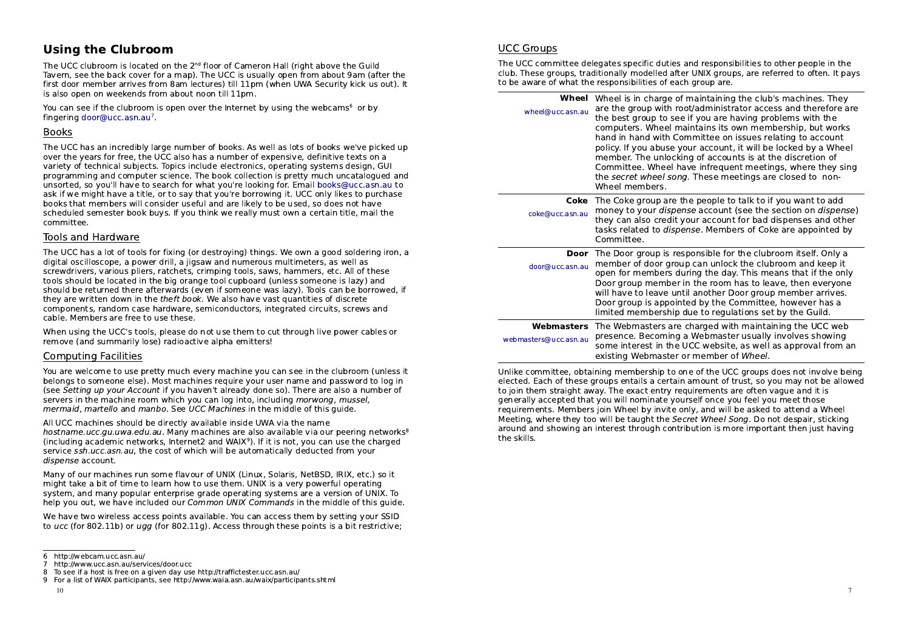## Using the Clubroom

The UCC clubroom is located on the 2<sup>nd</sup> floor of Cameron Hall (right above the Guild Tavern, see the back cover for a map). The UCC is usually open from about 9am (after the first door member arrives from 8am lectures) till 11pm (when UWA Security kick us out). Itis also open on weekends from about noon till 11pm.

You can see if the clubroom is open over the Internet by using the webcams<sup>6</sup> or by fingering door@ucc.asn.au7.

#### Books

 The UCC has an incredibly large number of books. As well as lots of books we've picked upover the years for free, the UCC also has a number of expensive, definitive texts on a variety of technical subjects. Topics include electronics, operating systems design, GUI programming and computer science. The book collection is pretty much uncatalogued and unsorted, so you'll have to search for what you're looking for. Email books@ucc.asn.au to ask if we might have a title, or to say that you're borrowing it. UCC only likes to purchasebooks that members will consider useful and are likely to be used, so does not have scheduled semester book buys. If you think we really must own a certain title, mail thecommittee.

#### Tools and Hardware

 The UCC has a lot of tools for fixing (or destroying) things. We own a good soldering iron, adigital oscilloscope, a power drill, a jigsaw and numerous multimeters, as well as screwdrivers, various pliers, ratchets, crimping tools, saws, hammers, etc. All of these tools should be located in the big orange tool cupboard (unless someone is lazy) and should be returned there afterwards (even if someone was lazy). Tools can be borrowed, ifthey are written down in the theft book. We also have vast quantities of discrete components, random case hardware, semiconductors, integrated circuits, screws andcable. Members are free to use these.

When using the UCC's tools, please do not use them to cut through live power cables orremove (and summarily lose) radioactive alpha emitters!

#### Computing Facilities

 You are welcome to use pretty much every machine you can see in the clubroom (unless it belongs to someone else). Most machines require your user name and password to log in (see Setting up your Account if you haven't already done so). There are also a number ofservers in the machine room which you can log into, including morwong, mussel,mermaid, martello and manbo. See UCC Machines in the middle of this quide.

#### All UCC machines should be directly available inside UWA via the name

hostname.ucc.gu.uwa.edu.au. Many machines are also available via our peering networks<sup>8</sup> (including academic networks, Internet2 and WAIX9). If it is not, you can use the chargedservice *ssh.ucc.asn.au*, the cost of which will be automatically deducted from your dispense account.

Many of our machines run some flavour of UNIX (Linux, Solaris, NetBSD, IRIX, etc.) so itmight take a bit of time to learn how to use them. UNIX is a very powerful operating system, and many popular enterprise grade operating systems are a version of UNIX. Tohelp you out, we have included our Common UNIX Commands in the middle of this guide.

We have two wireless access points available. You can access them by setting your SSIDto ucc (for 802.11b) or ugg (for 802.11g). Access through these points is a bit restrictive;

#### UCC Groups

 The UCC committee delegates specific duties and responsibilities to other people in the club. These groups, traditionally modelled after UNIX groups, are referred to often. It paysto be aware of what the responsibilities of each group are.

| Wheel<br>wheel@ucc.asn.au           | Wheel is in charge of maintaining the club's machines. They<br>are the group with root/administrator access and therefore are<br>the best group to see if you are having problems with the<br>computers. Wheel maintains its own membership, but works<br>hand in hand with Committee on issues relating to account<br>policy. If you abuse your account, it will be locked by a Wheel<br>member. The unlocking of accounts is at the discretion of<br>Committee. Wheel have infrequent meetings, where they sing<br>the secret wheel song. These meetings are closed to non-<br>Wheel members. |
|-------------------------------------|-------------------------------------------------------------------------------------------------------------------------------------------------------------------------------------------------------------------------------------------------------------------------------------------------------------------------------------------------------------------------------------------------------------------------------------------------------------------------------------------------------------------------------------------------------------------------------------------------|
| Coke<br>coke@ucc.asn.au             | The Coke group are the people to talk to if you want to add<br>money to your <i>dispense</i> account (see the section on <i>dispense</i> )<br>they can also credit your account for bad dispenses and other<br>tasks related to dispense. Members of Coke are appointed by<br>Committee.                                                                                                                                                                                                                                                                                                        |
| Door<br>door@ucc.asn.au             | The Door group is responsible for the clubroom itself. Only a<br>member of door group can unlock the clubroom and keep it<br>open for members during the day. This means that if the only<br>Door group member in the room has to leave, then everyone<br>will have to leave until another Door group member arrives.<br>Door group is appointed by the Committee, however has a<br>limited membership due to regulations set by the Guild.                                                                                                                                                     |
| Webmasters<br>webmasters@ucc.asn.au | The Webmasters are charged with maintaining the UCC web<br>presence. Becoming a Webmaster usually involves showing<br>some interest in the UCC website, as well as approval from an<br>existing Webmaster or member of Wheel.                                                                                                                                                                                                                                                                                                                                                                   |

Unlike committee, obtaining membership to one of the UCC groups does not involve being elected. Each of these groups entails a certain amount of trust, so you may not be allowedto join them straight away. The exact entry requirements are often vague and it is generally accepted that you will nominate yourself once you feel you meet those requirements. Members join Wheel by invite only, and will be asked to attend a WheelMeeting, where they too will be taught the Secret Wheel Song. Do not despair, sticking around and showing an interest through contribution is more important then just havingthe skills.

<sup>6</sup> http://webcam.ucc.asn.au/

7 http://www.ucc.asn.au/services/door.ucc

8 To see if a host is free on a given day use http://traffictester.ucc.asn.au/9 For a list of WAIX participants, see http://www.waia.asn.au/waix/participants.shtml